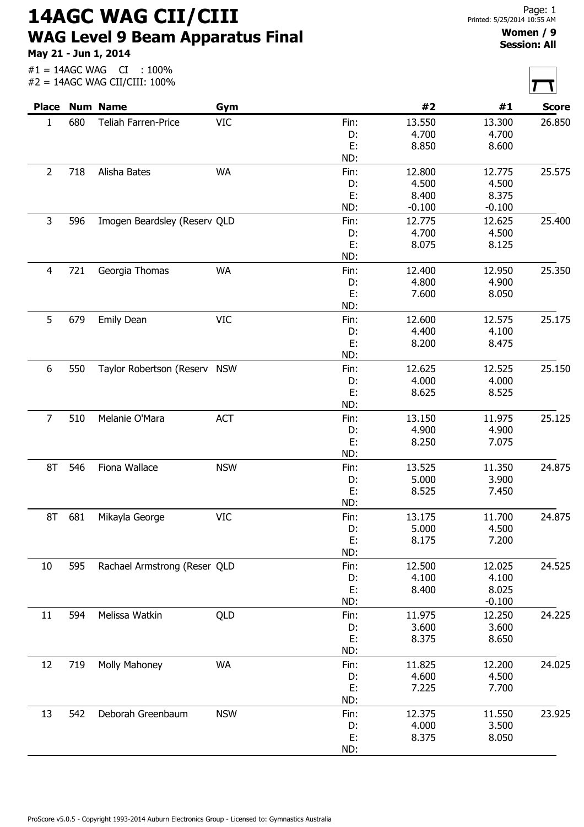14AGC WAG CII/CIII WAG Level 9 Beam Apparatus Final

May 21 - Jun 1, 2014

## Women / 9 Session: All

|                |     | <b>Place Num Name</b>        | Gym        |           | #2       | #1       | <b>Score</b> |
|----------------|-----|------------------------------|------------|-----------|----------|----------|--------------|
| $\mathbf{1}$   | 680 | Teliah Farren-Price          | <b>VIC</b> | Fin:      | 13.550   | 13.300   | 26.850       |
|                |     |                              |            | D:        | 4.700    | 4.700    |              |
|                |     |                              |            | E:        | 8.850    | 8.600    |              |
|                |     |                              |            | ND:       |          |          |              |
| $\overline{2}$ | 718 | Alisha Bates                 | <b>WA</b>  | Fin:      | 12.800   | 12.775   | 25.575       |
|                |     |                              |            | D:        | 4.500    | 4.500    |              |
|                |     |                              |            | E:        | 8.400    | 8.375    |              |
|                |     |                              |            | ND:       | $-0.100$ | $-0.100$ |              |
| 3              | 596 | Imogen Beardsley (Reserv QLD |            | Fin:      | 12.775   | 12.625   | 25.400       |
|                |     |                              |            | D:        | 4.700    | 4.500    |              |
|                |     |                              |            | E:        | 8.075    | 8.125    |              |
|                |     |                              |            | ND:       |          |          |              |
| $\overline{4}$ | 721 | Georgia Thomas               | <b>WA</b>  | Fin:      | 12.400   | 12.950   | 25.350       |
|                |     |                              |            | D:        | 4.800    | 4.900    |              |
|                |     |                              |            | E:        | 7.600    | 8.050    |              |
|                |     |                              |            | ND:       |          |          |              |
| 5              | 679 | Emily Dean                   | <b>VIC</b> | Fin:      | 12.600   | 12.575   | 25.175       |
|                |     |                              |            | D:        | 4.400    | 4.100    |              |
|                |     |                              |            | E:        | 8.200    | 8.475    |              |
|                |     |                              |            | ND:       |          |          |              |
| 6              | 550 | Taylor Robertson (Reserv NSW |            | Fin:      | 12.625   | 12.525   | 25.150       |
|                |     |                              |            | D:        | 4.000    | 4.000    |              |
|                |     |                              |            | E:        | 8.625    | 8.525    |              |
|                |     |                              |            | ND:       |          |          |              |
| $\overline{7}$ | 510 | Melanie O'Mara               | <b>ACT</b> | Fin:      | 13.150   | 11.975   | 25.125       |
|                |     |                              |            | D:        | 4.900    | 4.900    |              |
|                |     |                              |            | E:        | 8.250    | 7.075    |              |
|                |     |                              |            | ND:       |          |          |              |
|                |     |                              |            |           |          |          |              |
| 8T             | 546 | Fiona Wallace                | <b>NSW</b> | Fin:      | 13.525   | 11.350   | 24.875       |
|                |     |                              |            | D:        | 5.000    | 3.900    |              |
|                |     |                              |            | E:<br>ND: | 8.525    | 7.450    |              |
|                |     |                              |            |           |          |          |              |
| 8T             | 681 | Mikayla George               | <b>VIC</b> | Fin:      | 13.175   | 11.700   | 24.875       |
|                |     |                              |            | D:        | 5.000    | 4.500    |              |
|                |     |                              |            | Е.        | 8.175    | 7.200    |              |
|                |     |                              |            | ND:       |          |          |              |
| 10             | 595 | Rachael Armstrong (Reser QLD |            | Fin:      | 12.500   | 12.025   | 24.525       |
|                |     |                              |            | D:        | 4.100    | 4.100    |              |
|                |     |                              |            | E:        | 8.400    | 8.025    |              |
|                |     |                              |            | ND:       |          | $-0.100$ |              |
| 11             | 594 | Melissa Watkin               | QLD        | Fin:      | 11.975   | 12.250   | 24.225       |
|                |     |                              |            | D:        | 3.600    | 3.600    |              |
|                |     |                              |            | E:        | 8.375    | 8.650    |              |
|                |     |                              |            | ND:       |          |          |              |
| 12             | 719 | Molly Mahoney                | <b>WA</b>  | Fin:      | 11.825   | 12.200   | 24.025       |
|                |     |                              |            | D:        | 4.600    | 4.500    |              |
|                |     |                              |            | Е.        | 7.225    | 7.700    |              |
|                |     |                              |            | ND:       |          |          |              |
| 13             | 542 | Deborah Greenbaum            | <b>NSW</b> | Fin:      | 12.375   | 11.550   | 23.925       |
|                |     |                              |            | D:        | 4.000    | 3.500    |              |
|                |     |                              |            | E:        | 8.375    | 8.050    |              |
|                |     |                              |            | ND:       |          |          |              |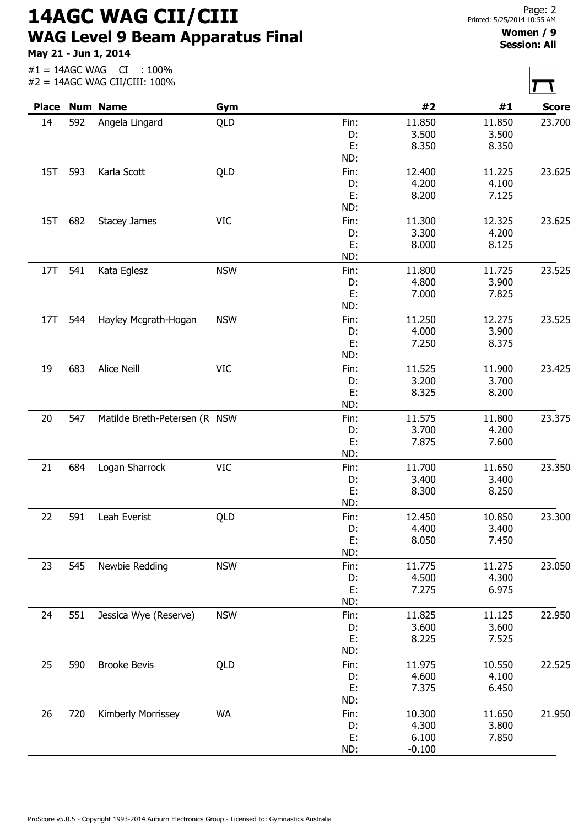14AGC WAG CII/CIII WAG Level 9 Beam Apparatus Final

May 21 - Jun 1, 2014

 $\overline{\Gamma}$ 

 $\overline{\phantom{a}}$ 

|     |     | #2 = 14AGC WAG CII/CIII: 100% |            |            |          |        |              |
|-----|-----|-------------------------------|------------|------------|----------|--------|--------------|
|     |     | <b>Place Num Name</b>         | Gym        |            | #2       | #1     | <b>Score</b> |
| 14  | 592 | Angela Lingard                | QLD        | Fin:       | 11.850   | 11.850 | 23.700       |
|     |     |                               |            | D:         | 3.500    | 3.500  |              |
|     |     |                               |            | E:         | 8.350    | 8.350  |              |
|     |     |                               |            | ND:        |          |        |              |
| 15T | 593 | Karla Scott                   | QLD        | Fin:       | 12.400   | 11.225 | 23.625       |
|     |     |                               |            | D:         | 4.200    | 4.100  |              |
|     |     |                               |            | E:         | 8.200    | 7.125  |              |
|     |     |                               |            | ND:        |          |        |              |
| 15T | 682 | <b>Stacey James</b>           | <b>VIC</b> | Fin:       | 11.300   | 12.325 | 23.625       |
|     |     |                               |            | D:         | 3.300    | 4.200  |              |
|     |     |                               |            | E:         | 8.000    | 8.125  |              |
|     |     |                               |            | ND:        |          |        |              |
| 17T | 541 | Kata Eglesz                   | <b>NSW</b> | Fin:       | 11.800   | 11.725 | 23.525       |
|     |     |                               |            | D:         | 4.800    | 3.900  |              |
|     |     |                               |            | E:         | 7.000    | 7.825  |              |
|     |     |                               |            | ND:        |          |        |              |
| 17T | 544 | Hayley Mcgrath-Hogan          | <b>NSW</b> | Fin:       | 11.250   | 12.275 | 23.525       |
|     |     |                               |            | D:         | 4.000    | 3.900  |              |
|     |     |                               |            | E:         | 7.250    | 8.375  |              |
|     |     |                               |            | ND:        |          |        |              |
| 19  | 683 | Alice Neill                   | <b>VIC</b> | Fin:       | 11.525   | 11.900 | 23.425       |
|     |     |                               |            | D:         | 3.200    | 3.700  |              |
|     |     |                               |            | E:         | 8.325    | 8.200  |              |
|     |     |                               |            | ND:        |          |        |              |
| 20  | 547 | Matilde Breth-Petersen (R NSW |            | Fin:       | 11.575   | 11.800 | 23.375       |
|     |     |                               |            | D:         | 3.700    | 4.200  |              |
|     |     |                               |            | Ε.         | 7.875    | 7.600  |              |
|     |     |                               |            | ND:        |          |        |              |
| 21  | 684 | Logan Sharrock                | <b>VIC</b> | Fin:       | 11.700   | 11.650 | 23.350       |
|     |     |                               |            | D:         | 3.400    | 3.400  |              |
|     |     |                               |            | E:         | 8.300    | 8.250  |              |
|     |     |                               |            | ND:        |          |        |              |
|     | 591 | Leah Everist                  |            |            | 12.450   | 10.850 |              |
| 22  |     |                               | QLD        | Fin:<br>D: | 4.400    | 3.400  | 23.300       |
|     |     |                               |            | E:         | 8.050    | 7.450  |              |
|     |     |                               |            | ND:        |          |        |              |
|     |     |                               |            |            |          |        |              |
| 23  | 545 | Newbie Redding                | <b>NSW</b> | Fin:       | 11.775   | 11.275 | 23.050       |
|     |     |                               |            | D:         | 4.500    | 4.300  |              |
|     |     |                               |            | E:         | 7.275    | 6.975  |              |
|     |     |                               |            | ND:        |          |        |              |
| 24  | 551 | Jessica Wye (Reserve)         | <b>NSW</b> | Fin:       | 11.825   | 11.125 | 22.950       |
|     |     |                               |            | D:         | 3.600    | 3.600  |              |
|     |     |                               |            | E:         | 8.225    | 7.525  |              |
|     |     |                               |            | ND:        |          |        |              |
| 25  | 590 | <b>Brooke Bevis</b>           | QLD        | Fin:       | 11.975   | 10.550 | 22.525       |
|     |     |                               |            | D:         | 4.600    | 4.100  |              |
|     |     |                               |            | E:         | 7.375    | 6.450  |              |
|     |     |                               |            | ND:        |          |        |              |
| 26  | 720 | Kimberly Morrissey            | <b>WA</b>  | Fin:       | 10.300   | 11.650 | 21.950       |
|     |     |                               |            | D:         | 4.300    | 3.800  |              |
|     |     |                               |            | E:         | 6.100    | 7.850  |              |
|     |     |                               |            | ND:        | $-0.100$ |        |              |